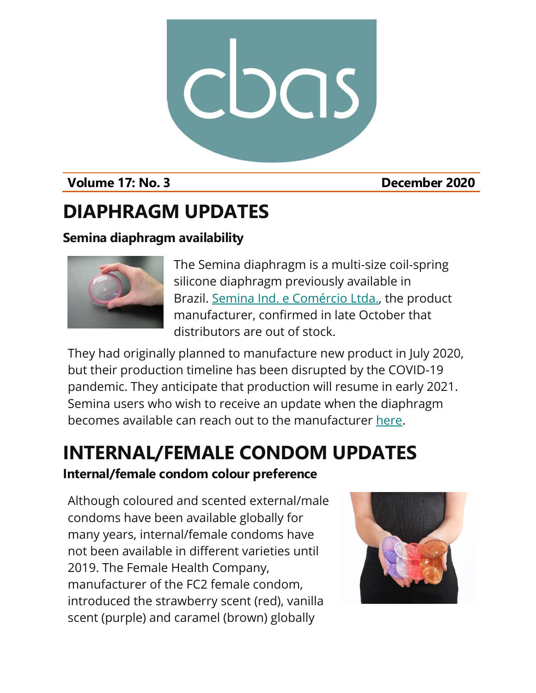

### **Volume 17: No. 3 December 2020**

### **DIAPHRAGM UPDATES**

### **Semina diaphragm availability**



The Semina diaphragm is a multi-size coil-spring silicone diaphragm previously available in Brazil. [Semina Ind. e Comércio](http://semina.com.br/) Ltda., the product manufacturer, confirmed in late October that distributors are out of stock.

They had originally planned to manufacture new product in July 2020, but their production timeline has been disrupted by the COVID-19 pandemic. They anticipate that production will resume in early 2021. Semina users who wish to receive an update when the diaphragm becomes available can reach out to the manufacturer [here.](http://semina.com.br/faleconosco/)

# **INTERNAL/FEMALE CONDOM UPDATES**

### **Internal/female condom colour preference**

Although coloured and scented external/male condoms have been available globally for many years, internal/female condoms have not been available in different varieties until 2019. The Female Health Company, manufacturer of the FC2 female condom, introduced the strawberry scent (red), vanilla scent (purple) and caramel (brown) globally

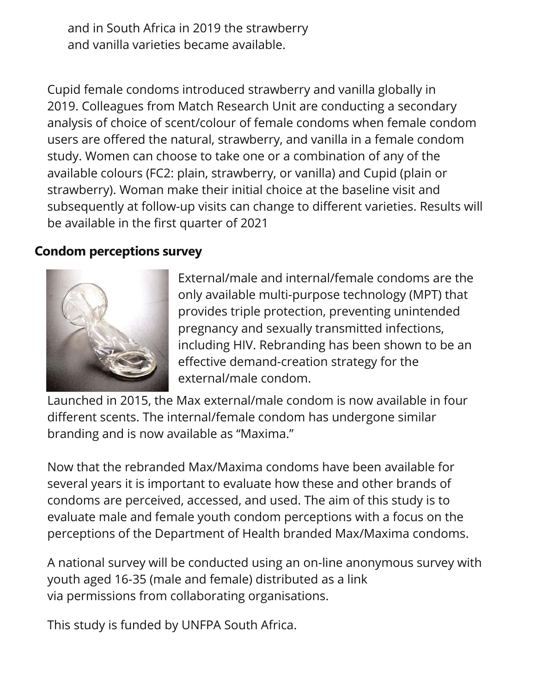and in South Africa in 2019 the strawberry and vanilla varieties became available.

Cupid female condoms introduced strawberry and vanilla globally in 2019. Colleagues from Match Research Unit are conducting a secondary analysis of choice of scent/colour of female condoms when female condom users are offered the natural, strawberry, and vanilla in a female condom study. Women can choose to take one or a combination of any of the available colours (FC2: plain, strawberry, or vanilla) and Cupid (plain or strawberry). Woman make their initial choice at the baseline visit and subsequently at follow-up visits can change to different varieties. Results will be available in the first quarter of 2021

#### **Condom perceptions survey**



External/male and internal/female condoms are the only available multi-purpose technology (MPT) that provides triple protection, preventing unintended pregnancy and sexually transmitted infections, including HIV. Rebranding has been shown to be an effective demand-creation strategy for the external/male condom.

Launched in 2015, the Max external/male condom is now available in four different scents. The internal/female condom has undergone similar branding and is now available as "Maxima."

Now that the rebranded Max/Maxima condoms have been available for several years it is important to evaluate how these and other brands of condoms are perceived, accessed, and used. The aim of this study is to evaluate male and female youth condom perceptions with a focus on the perceptions of the Department of Health branded Max/Maxima condoms.

A national survey will be conducted using an on-line anonymous survey with youth aged 16-35 (male and female) distributed as a link via permissions from collaborating organisations.

This study is funded by UNFPA South Africa.